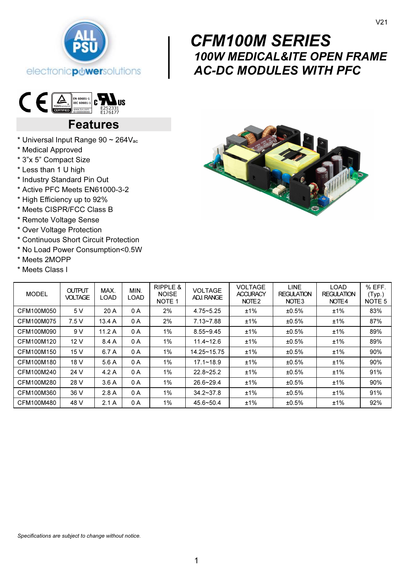



# Features

- \* Universal Input Range 90 ~ 264Vac
- \* Medical Approved
- \* 3"x 5" Compact Size
- \* Less than 1 U high
- \* Industry Standard Pin Out
- \* Active PFC Meets EN61000-3-2
- \* High Efficiency up to 92%
- \* Meets CISPR/FCC Class B
- \* Remote Voltage Sense
- \* Over Voltage Protection
- \* Continuous Short Circuit Protection
- \* No Load Power Consumption<0.5W
- \* Meets 2MOPP
- \* Meets Class I



100W MEDICAL&ITE OPEN FRAME

AC-DC MODULES WITH PFC

CFM100M SERIES

| <b>MODEL</b> | <b>OUTPUT</b><br><b>VOLTAGE</b> | MAX.<br>LOAD | MIN.<br>LOAD | RIPPLE &<br><b>NOISE</b><br>NOTE <sub>1</sub> | <b>VOLTAGE</b><br><b>ADJ. RANGE</b> | <b>VOLTAGE</b><br><b>ACCURACY</b><br>NOTE <sub>2</sub> | <b>LINE</b><br><b>REGULATION</b><br>NOTE <sub>3</sub> | <b>LOAD</b><br><b>REGULATION</b><br>NOTE4 | % EFF.<br>(Typ.)<br>NOTE <sub>5</sub> |
|--------------|---------------------------------|--------------|--------------|-----------------------------------------------|-------------------------------------|--------------------------------------------------------|-------------------------------------------------------|-------------------------------------------|---------------------------------------|
| CFM100M050   | 5 V                             | 20 A         | 0 A          | 2%                                            | $4.75 - 5.25$                       | ±1%                                                    | ±0.5%                                                 | ±1%                                       | 83%                                   |
| CFM100M075   | 7.5V                            | 13.4A        | 0 A          | 2%                                            | $7.13 - 7.88$                       | ±1%                                                    | ±0.5%                                                 | ±1%                                       | 87%                                   |
| CFM100M090   | 9 V                             | 11.2A        | 0 A          | 1%                                            | $8.55 - 9.45$                       | ±1%                                                    | ±0.5%                                                 | ±1%                                       | 89%                                   |
| CFM100M120   | 12V                             | 8.4A         | 0 A          | 1%                                            | $11.4 - 12.6$                       | ±1%                                                    | ±0.5%                                                 | ±1%                                       | 89%                                   |
| CFM100M150   | 15 V                            | 6.7 A        | 0 A          | 1%                                            | 14.25~15.75                         | ±1%                                                    | ±0.5%                                                 | ±1%                                       | 90%                                   |
| CFM100M180   | 18 V                            | 5.6A         | 0 A          | 1%                                            | $17.1 - 18.9$                       | ±1%                                                    | ±0.5%                                                 | ±1%                                       | 90%                                   |
| CFM100M240   | 24 V                            | 4.2A         | 0 A          | $1\%$                                         | $22.8 - 25.2$                       | ±1%                                                    | ±0.5%                                                 | ±1%                                       | 91%                                   |
| CFM100M280   | 28 V                            | 3.6A         | 0 A          | 1%                                            | $26.6 - 29.4$                       | ±1%                                                    | ±0.5%                                                 | ±1%                                       | 90%                                   |
| CFM100M360   | 36 V                            | 2.8A         | 0 A          | 1%                                            | $34.2 - 37.8$                       | ±1%                                                    | ±0.5%                                                 | ±1%                                       | 91%                                   |
| CFM100M480   | 48 V                            | 2.1A         | 0 A          | 1%                                            | $45.6 - 50.4$                       | ±1%                                                    | ±0.5%                                                 | ±1%                                       | 92%                                   |

 $\begin{bmatrix} & & C_1 \\ & 10 \\ & A_1 \end{bmatrix}$